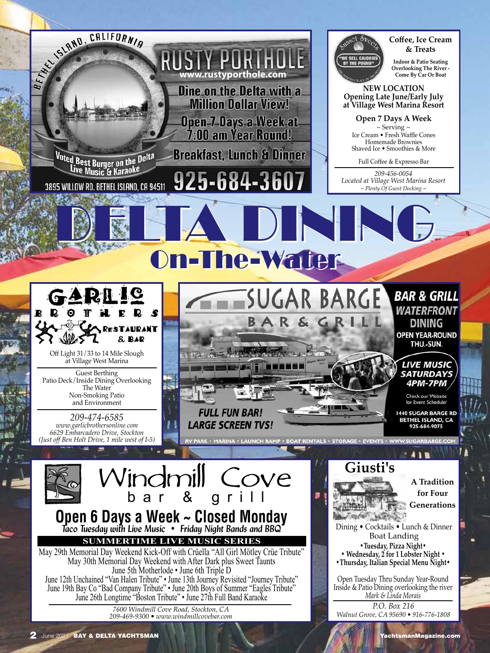